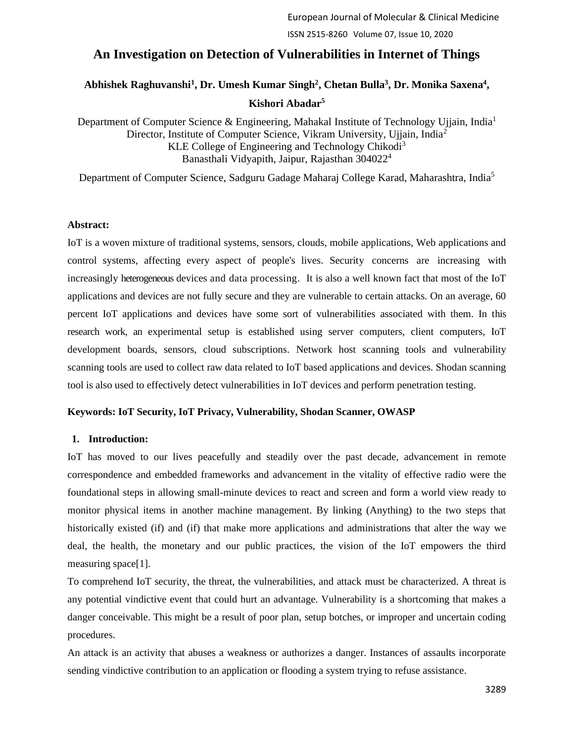## **An Investigation on Detection of Vulnerabilities in Internet of Things**

# Abhishek Raghuvanshi<sup>1</sup>, Dr. Umesh Kumar Singh<sup>2</sup>, Chetan Bulla<sup>3</sup>, Dr. Monika Saxena<sup>4</sup>,

### **Kishori Abadar<sup>5</sup>**

Department of Computer Science & Engineering, Mahakal Institute of Technology Ujjain, India<sup>1</sup> Director, Institute of Computer Science, Vikram University, Ujjain, India<sup>2</sup> KLE College of Engineering and Technology Chikodi<sup>3</sup> Banasthali Vidyapith, Jaipur, Rajasthan 304022<sup>4</sup>

Department of Computer Science, Sadguru Gadage Maharaj College Karad, Maharashtra, India<sup>5</sup>

#### **Abstract:**

IoT is a woven mixture of traditional systems, sensors, clouds, mobile applications, Web applications and control systems, affecting every aspect of people's lives. Security concerns are increasing with increasingly heterogeneous devices and data processing. It is also a well known fact that most of the IoT applications and devices are not fully secure and they are vulnerable to certain attacks. On an average, 60 percent IoT applications and devices have some sort of vulnerabilities associated with them. In this research work, an experimental setup is established using server computers, client computers, IoT development boards, sensors, cloud subscriptions. Network host scanning tools and vulnerability scanning tools are used to collect raw data related to IoT based applications and devices. Shodan scanning tool is also used to effectively detect vulnerabilities in IoT devices and perform penetration testing.

#### **Keywords: IoT Security, IoT Privacy, Vulnerability, Shodan Scanner, OWASP**

#### **1. Introduction:**

IoT has moved to our lives peacefully and steadily over the past decade, advancement in remote correspondence and embedded frameworks and advancement in the vitality of effective radio were the foundational steps in allowing small-minute devices to react and screen and form a world view ready to monitor physical items in another machine management. By linking (Anything) to the two steps that historically existed (if) and (if) that make more applications and administrations that alter the way we deal, the health, the monetary and our public practices, the vision of the IoT empowers the third measuring space[1].

To comprehend IoT security, the threat, the vulnerabilities, and attack must be characterized. A threat is any potential vindictive event that could hurt an advantage. Vulnerability is a shortcoming that makes a danger conceivable. This might be a result of poor plan, setup botches, or improper and uncertain coding procedures.

An attack is an activity that abuses a weakness or authorizes a danger. Instances of assaults incorporate sending vindictive contribution to an application or flooding a system trying to refuse assistance.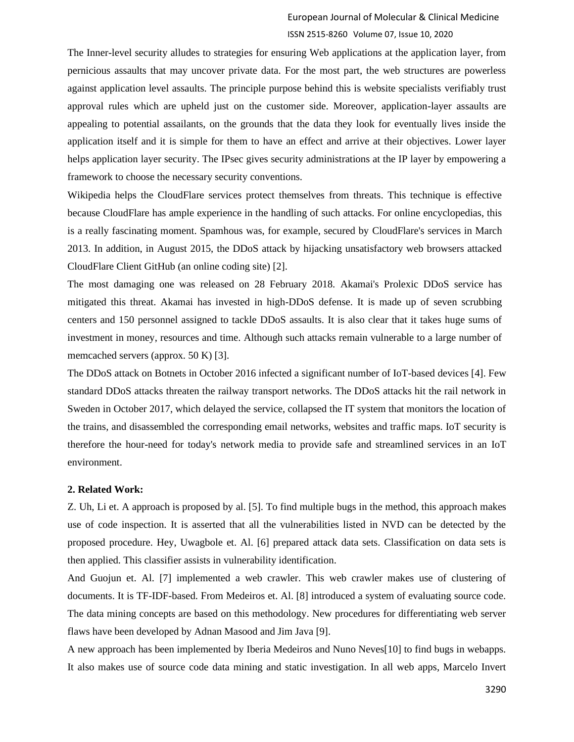The Inner-level security alludes to strategies for ensuring Web applications at the application layer, from pernicious assaults that may uncover private data. For the most part, the web structures are powerless against application level assaults. The principle purpose behind this is website specialists verifiably trust approval rules which are upheld just on the customer side. Moreover, application-layer assaults are appealing to potential assailants, on the grounds that the data they look for eventually lives inside the application itself and it is simple for them to have an effect and arrive at their objectives. Lower layer helps application layer security. The IPsec gives security administrations at the IP layer by empowering a framework to choose the necessary security conventions.

Wikipedia helps the CloudFlare services protect themselves from threats. This technique is effective because CloudFlare has ample experience in the handling of such attacks. For online encyclopedias, this is a really fascinating moment. Spamhous was, for example, secured by CloudFlare's services in March 2013. In addition, in August 2015, the DDoS attack by hijacking unsatisfactory web browsers attacked CloudFlare Client GitHub (an online coding site) [2].

The most damaging one was released on 28 February 2018. Akamai's Prolexic DDoS service has mitigated this threat. Akamai has invested in high-DDoS defense. It is made up of seven scrubbing centers and 150 personnel assigned to tackle DDoS assaults. It is also clear that it takes huge sums of investment in money, resources and time. Although such attacks remain vulnerable to a large number of memcached servers (approx. 50 K) [3].

The DDoS attack on Botnets in October 2016 infected a significant number of IoT-based devices [4]. Few standard DDoS attacks threaten the railway transport networks. The DDoS attacks hit the rail network in Sweden in October 2017, which delayed the service, collapsed the IT system that monitors the location of the trains, and disassembled the corresponding email networks, websites and traffic maps. IoT security is therefore the hour-need for today's network media to provide safe and streamlined services in an IoT environment.

#### **2. Related Work:**

Z. Uh, Li et. A approach is proposed by al. [5]. To find multiple bugs in the method, this approach makes use of code inspection. It is asserted that all the vulnerabilities listed in NVD can be detected by the proposed procedure. Hey, Uwagbole et. Al. [6] prepared attack data sets. Classification on data sets is then applied. This classifier assists in vulnerability identification.

And Guojun et. Al. [7] implemented a web crawler. This web crawler makes use of clustering of documents. It is TF-IDF-based. From Medeiros et. Al. [8] introduced a system of evaluating source code. The data mining concepts are based on this methodology. New procedures for differentiating web server flaws have been developed by Adnan Masood and Jim Java [9].

A new approach has been implemented by Iberia Medeiros and Nuno Neves[10] to find bugs in webapps. It also makes use of source code data mining and static investigation. In all web apps, Marcelo Invert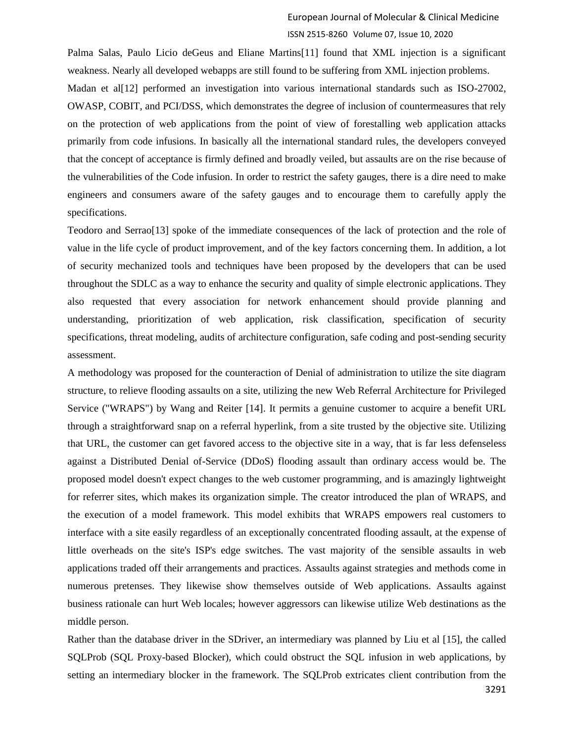Palma Salas, Paulo Licio deGeus and Eliane Martins[11] found that XML injection is a significant weakness. Nearly all developed webapps are still found to be suffering from XML injection problems. Madan et al<sup>[12]</sup> performed an investigation into various international standards such as ISO-27002, OWASP, COBIT, and PCI/DSS, which demonstrates the degree of inclusion of countermeasures that rely on the protection of web applications from the point of view of forestalling web application attacks primarily from code infusions. In basically all the international standard rules, the developers conveyed that the concept of acceptance is firmly defined and broadly veiled, but assaults are on the rise because of the vulnerabilities of the Code infusion. In order to restrict the safety gauges, there is a dire need to make engineers and consumers aware of the safety gauges and to encourage them to carefully apply the specifications.

Teodoro and Serrao[13] spoke of the immediate consequences of the lack of protection and the role of value in the life cycle of product improvement, and of the key factors concerning them. In addition, a lot of security mechanized tools and techniques have been proposed by the developers that can be used throughout the SDLC as a way to enhance the security and quality of simple electronic applications. They also requested that every association for network enhancement should provide planning and understanding, prioritization of web application, risk classification, specification of security specifications, threat modeling, audits of architecture configuration, safe coding and post-sending security assessment.

A methodology was proposed for the counteraction of Denial of administration to utilize the site diagram structure, to relieve flooding assaults on a site, utilizing the new Web Referral Architecture for Privileged Service ("WRAPS") by Wang and Reiter [14]. It permits a genuine customer to acquire a benefit URL through a straightforward snap on a referral hyperlink, from a site trusted by the objective site. Utilizing that URL, the customer can get favored access to the objective site in a way, that is far less defenseless against a Distributed Denial of-Service (DDoS) flooding assault than ordinary access would be. The proposed model doesn't expect changes to the web customer programming, and is amazingly lightweight for referrer sites, which makes its organization simple. The creator introduced the plan of WRAPS, and the execution of a model framework. This model exhibits that WRAPS empowers real customers to interface with a site easily regardless of an exceptionally concentrated flooding assault, at the expense of little overheads on the site's ISP's edge switches. The vast majority of the sensible assaults in web applications traded off their arrangements and practices. Assaults against strategies and methods come in numerous pretenses. They likewise show themselves outside of Web applications. Assaults against business rationale can hurt Web locales; however aggressors can likewise utilize Web destinations as the middle person.

Rather than the database driver in the SDriver, an intermediary was planned by Liu et al [15], the called SQLProb (SQL Proxy-based Blocker), which could obstruct the SQL infusion in web applications, by setting an intermediary blocker in the framework. The SQLProb extricates client contribution from the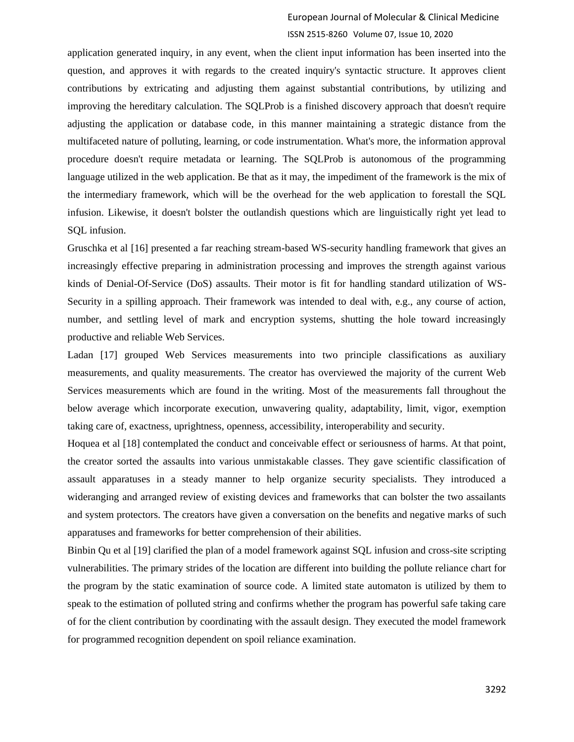application generated inquiry, in any event, when the client input information has been inserted into the question, and approves it with regards to the created inquiry's syntactic structure. It approves client contributions by extricating and adjusting them against substantial contributions, by utilizing and improving the hereditary calculation. The SQLProb is a finished discovery approach that doesn't require adjusting the application or database code, in this manner maintaining a strategic distance from the multifaceted nature of polluting, learning, or code instrumentation. What's more, the information approval procedure doesn't require metadata or learning. The SQLProb is autonomous of the programming language utilized in the web application. Be that as it may, the impediment of the framework is the mix of the intermediary framework, which will be the overhead for the web application to forestall the SQL infusion. Likewise, it doesn't bolster the outlandish questions which are linguistically right yet lead to SQL infusion.

Gruschka et al [16] presented a far reaching stream-based WS-security handling framework that gives an increasingly effective preparing in administration processing and improves the strength against various kinds of Denial-Of-Service (DoS) assaults. Their motor is fit for handling standard utilization of WS-Security in a spilling approach. Their framework was intended to deal with, e.g., any course of action, number, and settling level of mark and encryption systems, shutting the hole toward increasingly productive and reliable Web Services.

Ladan [17] grouped Web Services measurements into two principle classifications as auxiliary measurements, and quality measurements. The creator has overviewed the majority of the current Web Services measurements which are found in the writing. Most of the measurements fall throughout the below average which incorporate execution, unwavering quality, adaptability, limit, vigor, exemption taking care of, exactness, uprightness, openness, accessibility, interoperability and security.

Hoquea et al [18] contemplated the conduct and conceivable effect or seriousness of harms. At that point, the creator sorted the assaults into various unmistakable classes. They gave scientific classification of assault apparatuses in a steady manner to help organize security specialists. They introduced a wideranging and arranged review of existing devices and frameworks that can bolster the two assailants and system protectors. The creators have given a conversation on the benefits and negative marks of such apparatuses and frameworks for better comprehension of their abilities.

Binbin Qu et al [19] clarified the plan of a model framework against SQL infusion and cross-site scripting vulnerabilities. The primary strides of the location are different into building the pollute reliance chart for the program by the static examination of source code. A limited state automaton is utilized by them to speak to the estimation of polluted string and confirms whether the program has powerful safe taking care of for the client contribution by coordinating with the assault design. They executed the model framework for programmed recognition dependent on spoil reliance examination.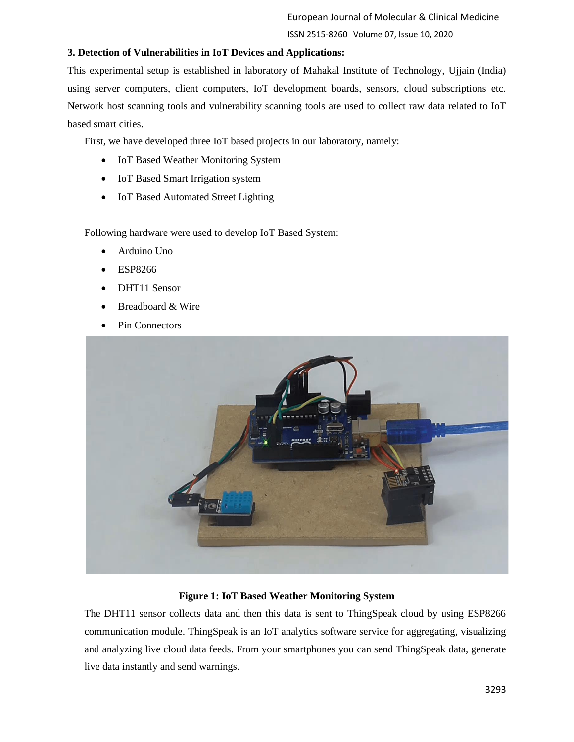## **3. Detection of Vulnerabilities in IoT Devices and Applications:**

This experimental setup is established in laboratory of Mahakal Institute of Technology, Ujjain (India) using server computers, client computers, IoT development boards, sensors, cloud subscriptions etc. Network host scanning tools and vulnerability scanning tools are used to collect raw data related to IoT based smart cities.

First, we have developed three IoT based projects in our laboratory, namely:

- IoT Based Weather Monitoring System
- IoT Based Smart Irrigation system
- IoT Based Automated Street Lighting

Following hardware were used to develop IoT Based System:

- Arduino Uno
- ESP8266
- DHT11 Sensor
- Breadboard & Wire
- Pin Connectors



## **Figure 1: IoT Based Weather Monitoring System**

The DHT11 sensor collects data and then this data is sent to ThingSpeak cloud by using ESP8266 communication module. ThingSpeak is an IoT analytics software service for aggregating, visualizing and analyzing live cloud data feeds. From your smartphones you can send ThingSpeak data, generate live data instantly and send warnings.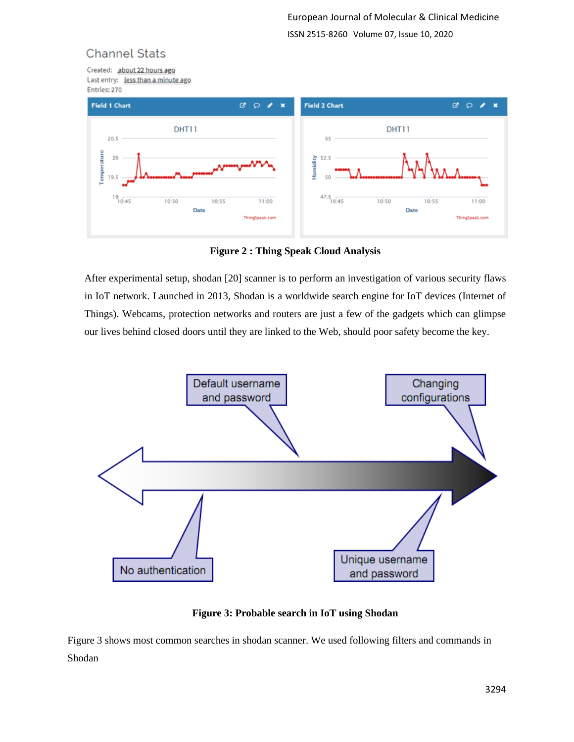# **Channel Stats**

Created: about 22 hours ago Last entry: Jess than a minute ago Entries: 270



**Figure 2 : Thing Speak Cloud Analysis**

After experimental setup, shodan [20] scanner is to perform an investigation of various security flaws in IoT network. Launched in 2013, Shodan is a worldwide search engine for IoT devices (Internet of Things). Webcams, protection networks and routers are just a few of the gadgets which can glimpse our lives behind closed doors until they are linked to the Web, should poor safety become the key.



**Figure 3: Probable search in IoT using Shodan**

Figure 3 shows most common searches in shodan scanner. We used following filters and commands in Shodan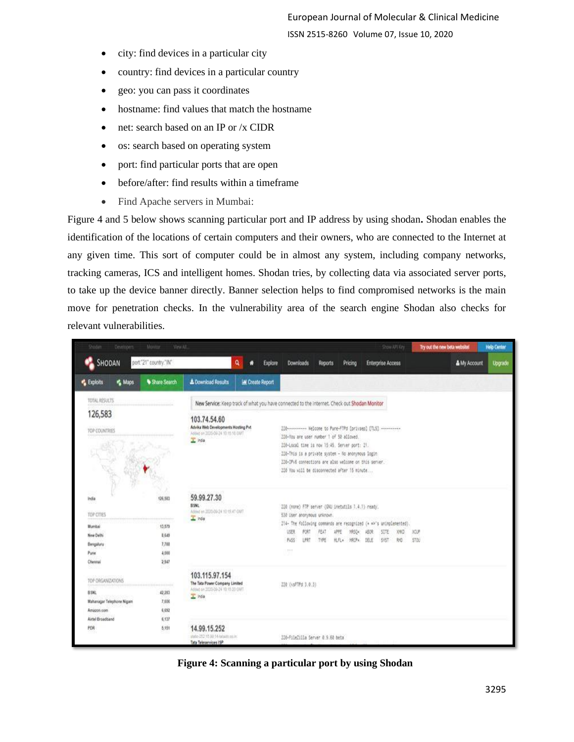- city: find devices in a particular city
- country: find devices in a particular country
- geo: you can pass it coordinates
- hostname: find values that match the hostname
- net: search based on an IP or /x CIDR
- os: search based on operating system
- port: find particular ports that are open
- before/after: find results within a timeframe
- Find Apache servers in Mumbai:

Figure 4 and 5 below shows scanning particular port and IP address by using shodan**.** Shodan enables the identification of the locations of certain computers and their owners, who are connected to the Internet at any given time. This sort of computer could be in almost any system, including company networks, tracking cameras, ICS and intelligent homes. Shodan tries, by collecting data via associated server ports, to take up the device banner directly. Banner selection helps to find compromised networks is the main move for penetration checks. In the vulnerability area of the search engine Shodan also checks for relevant vulnerabilities.

| <b>Doder</b><br>Developers                                                 | Monter<br>View All                                                                                              |                                                                                                                                                                                        |                        |         |                                                                                                                                                                                                                                                         |              |                                                      |                                                                                                            | Show API Key | Try out the new beta website! |              | <b>Help Center</b> |
|----------------------------------------------------------------------------|-----------------------------------------------------------------------------------------------------------------|----------------------------------------------------------------------------------------------------------------------------------------------------------------------------------------|------------------------|---------|---------------------------------------------------------------------------------------------------------------------------------------------------------------------------------------------------------------------------------------------------------|--------------|------------------------------------------------------|------------------------------------------------------------------------------------------------------------|--------------|-------------------------------|--------------|--------------------|
| SHODAN                                                                     | port."21" country." IN"                                                                                         |                                                                                                                                                                                        | ۹<br>ñ                 | Explore | <b>Downloads</b>                                                                                                                                                                                                                                        | Reports      | Pricing                                              | <b>Enterprise Access</b>                                                                                   |              |                               | & My Account | Upgrade            |
| <b>K</b> Maps<br><b>Exploits</b>                                           | Share Search                                                                                                    | <b>L</b> Download Results                                                                                                                                                              | <b>M</b> Create Report |         |                                                                                                                                                                                                                                                         |              |                                                      |                                                                                                            |              |                               |              |                    |
| TOTAL RESULTS                                                              |                                                                                                                 | New Service: Keep track of what you have connected to the Internet. Check out Shodan Monitor                                                                                           |                        |         |                                                                                                                                                                                                                                                         |              |                                                      |                                                                                                            |              |                               |              |                    |
| 126,583<br>TOP COUNTRIES                                                   |                                                                                                                 | 103.74.54.60<br>Advika Web Developments Hosting Pvt.<br>Added on 2020-09-24 10:15:16 OWT<br>T Inda                                                                                     |                        |         | 220-You are user number 1 of 50 allowed.<br>220-Local time is now 15:45. Server port: 21.<br>220-This is a private system - No anonymous login<br>220-IPv6 conhections are also welcome on this server.<br>220 You will be disconnected after 15 minute |              |                                                      | 220--------- Welcome to Pure-FTPd [privsep] [TLS] ----------                                               |              |                               |              |                    |
| India<br>TOP CITIES<br>Mumbai<br>New Delhi<br>Bengaluru<br>Pune<br>Chennai | 126,583<br>13,579<br>8,649<br>7,788<br>4,000<br>2,947                                                           | 59.99.27.30<br>II SNL<br>Added on 2020-09-24 10 15:47 OWT<br>$\overline{\perp}$ inde<br>103.115.97.154<br>The Tata Power Company Limited<br>Added on 2020-09-24 10:15:20 OMT<br>T Inda |                        |         | 220 (none) FTP server (GNU instutils 1.4.1) ready.<br>530 User anonymous unknown.<br>USER<br>PORT<br>PASS<br>LPRT<br>$7.5 - 1$                                                                                                                          | FEAT<br>TYPE | <b>APPE</b><br>MRSO4<br><b>HLFL+</b><br><b>MRCPA</b> | 214- The following commends are recognized (* *** s unimplemented).<br>ABOR<br>SITE<br>DELE<br><b>SYST</b> | XHO<br>86    | 3/21/8<br>STOU                |              |                    |
| TOP ORGANIZATIONS<br>BSNL<br>Mahanagar Telephone Nigam<br>Amazon.com       | 55 B.S<br>42,203<br>7,606<br>6,652                                                                              |                                                                                                                                                                                        |                        |         | 220 (vsFTPd: 3.0.3)                                                                                                                                                                                                                                     |              |                                                      |                                                                                                            |              |                               |              |                    |
| PDR                                                                        | Airfel Broadband<br>6.137<br>14.99.15.252<br>8.151<br>atato-252 15.00 14 tataim op.in.<br>Tata Teleservices ISP |                                                                                                                                                                                        |                        |         | 220-FileZilla Server 0.9.60 beta                                                                                                                                                                                                                        |              |                                                      |                                                                                                            |              |                               |              |                    |

**Figure 4: Scanning a particular port by using Shodan**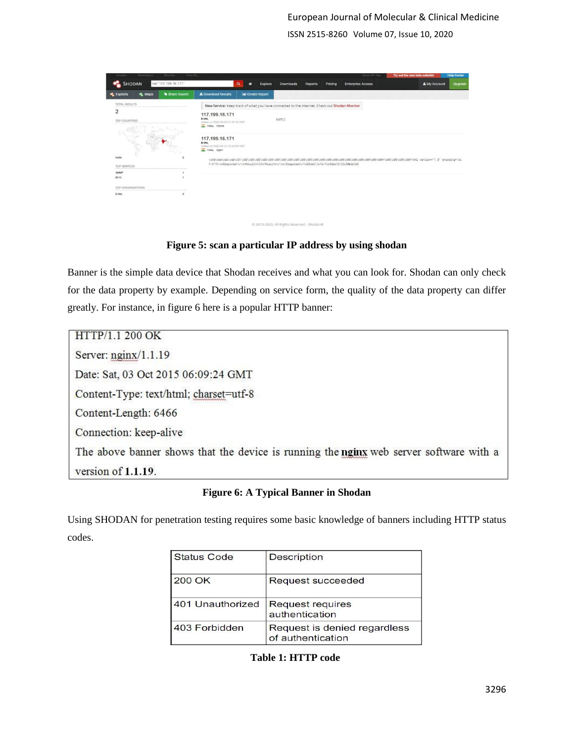ISSN 2515-8260 Volume 07, Issue 10, 2020

| SHODAN<br><b>Exploits</b><br>TOTAL RESULTS<br>$\overline{2}$ | net "117.199.16.171"<br><b>A</b> Maps<br>Share Search | <b>±</b> Download Results                                                           | Q<br>۰<br><b>M Create Report</b> | <b>Explore</b><br>Downloads                                                                     | Reports | Pricing | <b>Enterprise Access</b> | & My Account | Upgrade |
|--------------------------------------------------------------|-------------------------------------------------------|-------------------------------------------------------------------------------------|----------------------------------|-------------------------------------------------------------------------------------------------|---------|---------|--------------------------|--------------|---------|
|                                                              |                                                       |                                                                                     |                                  |                                                                                                 |         |         |                          |              |         |
|                                                              |                                                       |                                                                                     |                                  |                                                                                                 |         |         |                          |              |         |
|                                                              |                                                       |                                                                                     |                                  | New Service: Keep track of what you have connected to the Internet. Check out Shodan Monitor    |         |         |                          |              |         |
| TOP COUNTRIES                                                |                                                       | 117.199.16.171<br><b>BSNL</b><br>Added on 2020-09-05 21:16:19 GMT<br>India, Indore  |                                  | 450TC2                                                                                          |         |         |                          |              |         |
|                                                              |                                                       | 117.199.16.171<br><b>BSNL</b><br>Added on 2020-09-24 10:22:06 GMT<br>T India, Ujain |                                  |                                                                                                 |         |         |                          |              |         |
| India<br><b>TOP SERVICES</b>                                 | $\overline{\mathbf{z}}$                               |                                                                                     |                                  | f-8"?>\n <response>\r\n<result>129</result>\r\n</response> \r\n69da513c7a1fcc9ebe1b125c50bde3e0 |         |         |                          |              |         |
| SNMP                                                         |                                                       |                                                                                     |                                  |                                                                                                 |         |         |                          |              |         |
| 9010                                                         |                                                       |                                                                                     |                                  |                                                                                                 |         |         |                          |              |         |
| <b>TOP ORGANIZATIONS</b>                                     |                                                       |                                                                                     |                                  |                                                                                                 |         |         |                          |              |         |
| <b>BSNL</b>                                                  | $\overline{z}$                                        |                                                                                     |                                  |                                                                                                 |         |         |                          |              |         |

**Figure 5: scan a particular IP address by using shodan**

@ 2013-2020, All Rights Reserved - Shodan®

Banner is the simple data device that Shodan receives and what you can look for. Shodan can only check for the data property by example. Depending on service form, the quality of the data property can differ greatly. For instance, in figure 6 here is a popular HTTP banner:

HTTP/1.1 200 OK Server:  $n\text{ginx}/1.1.19$ Date: Sat, 03 Oct 2015 06:09:24 GMT Content-Type: text/html; charset=utf-8 Content-Length: 6466 Connection: keep-alive The above banner shows that the device is running the nginx web server software with a version of 1.1.19.

**Figure 6: A Typical Banner in Shodan**

Using SHODAN for penetration testing requires some basic knowledge of banners including HTTP status codes.

| <b>Status Code</b> | <b>Description</b>                                |  |  |  |  |  |
|--------------------|---------------------------------------------------|--|--|--|--|--|
| 200 OK             | Request succeeded                                 |  |  |  |  |  |
| 401 Unauthorized   | <b>Request requires</b><br>authentication         |  |  |  |  |  |
| 403 Forbidden      | Request is denied regardless<br>of authentication |  |  |  |  |  |

**Table 1: HTTP code**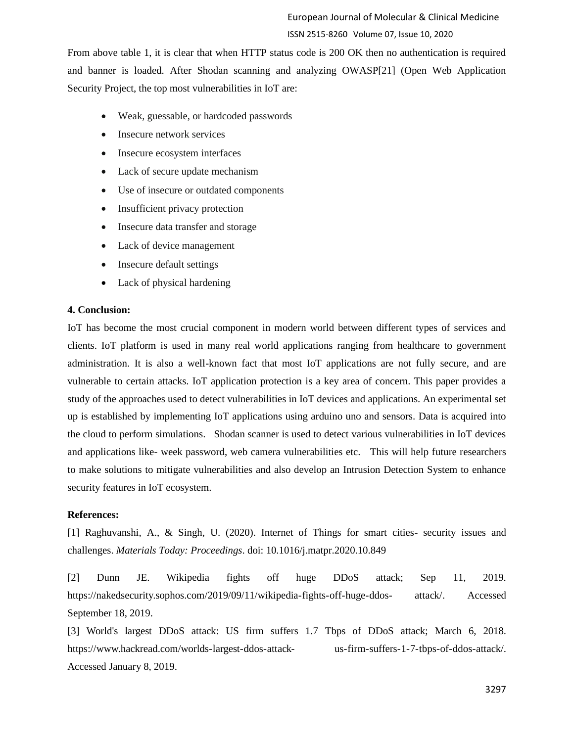From above table 1, it is clear that when HTTP status code is 200 OK then no authentication is required and banner is loaded. After Shodan scanning and analyzing OWASP[21] (Open Web Application Security Project, the top most vulnerabilities in IoT are:

- Weak, guessable, or hardcoded passwords
- Insecure network services
- Insecure ecosystem interfaces
- Lack of secure update mechanism
- Use of insecure or outdated components
- Insufficient privacy protection
- Insecure data transfer and storage
- Lack of device management
- Insecure default settings
- Lack of physical hardening

#### **4. Conclusion:**

IoT has become the most crucial component in modern world between different types of services and clients. IoT platform is used in many real world applications ranging from healthcare to government administration. It is also a well-known fact that most IoT applications are not fully secure, and are vulnerable to certain attacks. IoT application protection is a key area of concern. This paper provides a study of the approaches used to detect vulnerabilities in IoT devices and applications. An experimental set up is established by implementing IoT applications using arduino uno and sensors. Data is acquired into the cloud to perform simulations. Shodan scanner is used to detect various vulnerabilities in IoT devices and applications like- week password, web camera vulnerabilities etc. This will help future researchers to make solutions to mitigate vulnerabilities and also develop an Intrusion Detection System to enhance security features in IoT ecosystem.

#### **References:**

[1] Raghuvanshi, A., & Singh, U. (2020). Internet of Things for smart cities- security issues and challenges. *Materials Today: Proceedings*. doi: 10.1016/j.matpr.2020.10.849

[2] Dunn JE. Wikipedia fights off huge DDoS attack; Sep 11, 2019. [https://nakedsecurity.sophos.com/2019/09/11/wikipedia-fights-off-huge-ddos-](https://nakedsecurity.sophos.com/2019/09/11/wikipedia-fights-off-huge-ddos-attack/) [attack/.](https://nakedsecurity.sophos.com/2019/09/11/wikipedia-fights-off-huge-ddos-attack/) Accessed September 18, 2019.

[3] World's largest DDoS attack: US firm suffers 1.7 Tbps of DDoS attack; March 6, 2018. [https://www.hackread.com/worlds-largest-ddos-attack-](https://www.hackread.com/worlds-largest-ddos-attack-us-firm-suffers-1-7-tbps-of-ddos-attack/) [us-firm-suffers-1-7-tbps-of-ddos-attack/.](https://www.hackread.com/worlds-largest-ddos-attack-us-firm-suffers-1-7-tbps-of-ddos-attack/) Accessed January 8, 2019.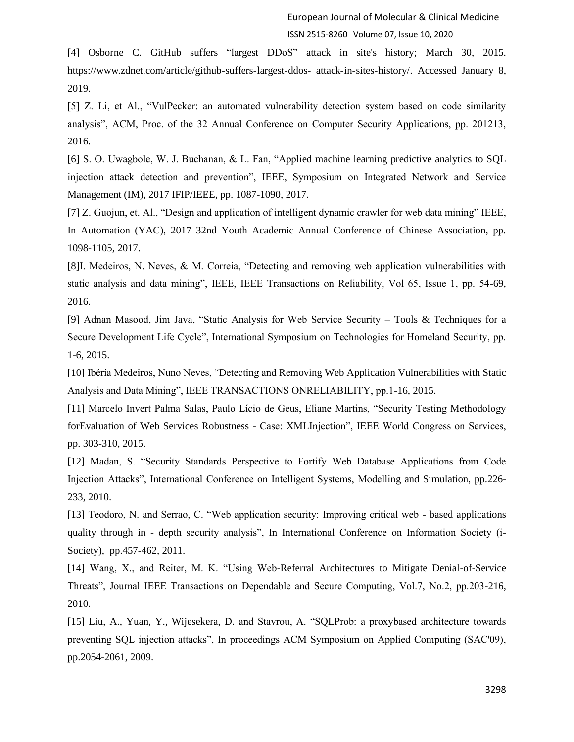[4] Osborne C. GitHub suffers "largest DDoS" attack in site's history; March 30, 2015. [https://www.zdnet.com/article/github-suffers-largest-ddos-](https://www.zdnet.com/article/github-suffers-largest-ddos-attack-in-sites-history/) [attack-in-sites-history/.](https://www.zdnet.com/article/github-suffers-largest-ddos-attack-in-sites-history/) Accessed January 8, 2019.

[5] Z. Li, et Al., "VulPecker: an automated vulnerability detection system based on code similarity analysis", ACM, Proc. of the 32 Annual Conference on Computer Security Applications, pp. 201213, 2016.

[6] S. O. Uwagbole, W. J. Buchanan, & L. Fan, "Applied machine learning predictive analytics to SQL injection attack detection and prevention", IEEE, Symposium on Integrated Network and Service Management (IM), 2017 IFIP/IEEE, pp. 1087-1090, 2017.

[7] Z. Guojun, et. Al., "Design and application of intelligent dynamic crawler for web data mining" IEEE, In Automation (YAC), 2017 32nd Youth Academic Annual Conference of Chinese Association, pp. 1098-1105, 2017.

[8]I. Medeiros, N. Neves, & M. Correia, "Detecting and removing web application vulnerabilities with static analysis and data mining", IEEE, IEEE Transactions on Reliability, Vol 65, Issue 1, pp. 54-69, 2016.

[9] Adnan Masood, Jim Java, "Static Analysis for Web Service Security – Tools & Techniques for a Secure Development Life Cycle", International Symposium on Technologies for Homeland Security, pp. 1-6, 2015.

[10] Ibéria Medeiros, Nuno Neves, "Detecting and Removing Web Application Vulnerabilities with Static Analysis and Data Mining", IEEE TRANSACTIONS ONRELIABILITY, pp.1-16, 2015.

[11] Marcelo Invert Palma Salas, Paulo Lício de Geus, Eliane Martins, "Security Testing Methodology forEvaluation of Web Services Robustness - Case: XMLInjection", IEEE World Congress on Services, pp. 303-310, 2015.

[12] Madan, S. "Security Standards Perspective to Fortify Web Database Applications from Code Injection Attacks", International Conference on Intelligent Systems, Modelling and Simulation, pp.226- 233, 2010.

[13] Teodoro, N. and Serrao, C. "Web application security: Improving critical web - based applications quality through in - depth security analysis", In International Conference on Information Society (i-Society), pp.457-462, 2011.

[14] Wang, X., and Reiter, M. K. "Using Web-Referral Architectures to Mitigate Denial-of-Service Threats", Journal IEEE Transactions on Dependable and Secure Computing, Vol.7, No.2, pp.203-216, 2010.

[15] Liu, A., Yuan, Y., Wijesekera, D. and Stavrou, A. "SQLProb: a proxybased architecture towards preventing SQL injection attacks", In proceedings ACM Symposium on Applied Computing (SAC'09), pp.2054-2061, 2009.